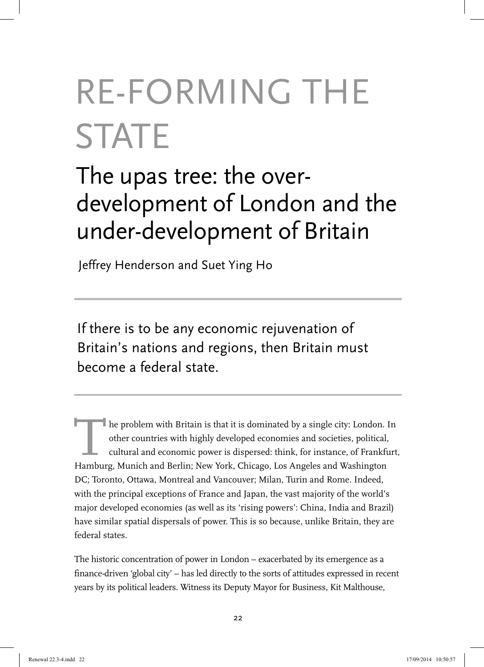# RE-FORMING THE **STATE**

# The upas tree: the overdevelopment of London and the under-development of Britain

Jeffrey Henderson and Suet Ying Ho

If there is to be any economic rejuvenation of Britain's nations and regions, then Britain must become a federal state.

The problem with Britain is that it is dominated by a single city: London. In other countries with highly developed economies and societies, political, cultural and economic power is dispersed: think, for instance, of Frankfurt, Hamburg, Munich and Berlin; New York, Chicago, Los Angeles and Washington DC; Toronto, Ottawa, Montreal and Vancouver; Milan, Turin and Rome. Indeed, with the principal exceptions of France and Japan, the vast majority of the world's major developed economies (as well as its 'rising powers': China, India and Brazil) have similar spatial dispersals of power. This is so because, unlike Britain, they are federal states.

The historic concentration of power in London – exacerbated by its emergence as a finance-driven 'global city' – has led directly to the sorts of attitudes expressed in recent years by its political leaders. Witness its Deputy Mayor for Business, Kit Malthouse,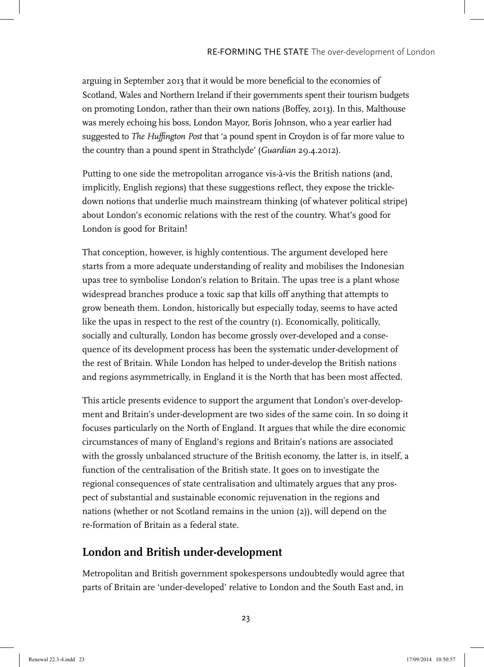arguing in September 2013 that it would be more beneficial to the economies of Scotland, Wales and Northern Ireland if their governments spent their tourism budgets on promoting London, rather than their own nations (Boffey, 2013). In this, Malthouse was merely echoing his boss, London Mayor, Boris Johnson, who a year earlier had suggested to *The Huffington Post* that 'a pound spent in Croydon is of far more value to the country than a pound spent in Strathclyde' (*Guardian* 29.4.2012).

Putting to one side the metropolitan arrogance vis-à-vis the British nations (and, implicitly, English regions) that these suggestions reflect, they expose the trickledown notions that underlie much mainstream thinking (of whatever political stripe) about London's economic relations with the rest of the country. What's good for London is good for Britain!

That conception, however, is highly contentious. The argument developed here starts from a more adequate understanding of reality and mobilises the Indonesian upas tree to symbolise London's relation to Britain. The upas tree is a plant whose widespread branches produce a toxic sap that kills off anything that attempts to grow beneath them. London, historically but especially today, seems to have acted like the upas in respect to the rest of the country (1). Economically, politically, socially and culturally, London has become grossly over-developed and a consequence of its development process has been the systematic under-development of the rest of Britain. While London has helped to under-develop the British nations and regions asymmetrically, in England it is the North that has been most affected.

This article presents evidence to support the argument that London's over-development and Britain's under-development are two sides of the same coin. In so doing it focuses particularly on the North of England. It argues that while the dire economic circumstances of many of England's regions and Britain's nations are associated with the grossly unbalanced structure of the British economy, the latter is, in itself, a function of the centralisation of the British state. It goes on to investigate the regional consequences of state centralisation and ultimately argues that any prospect of substantial and sustainable economic rejuvenation in the regions and nations (whether or not Scotland remains in the union (2)), will depend on the re-formation of Britain as a federal state.

# **London and British under-development**

Metropolitan and British government spokespersons undoubtedly would agree that parts of Britain are 'under-developed' relative to London and the South East and, in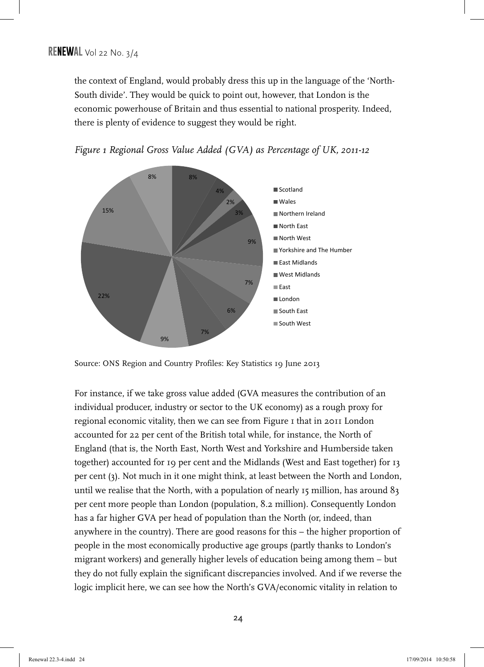the context of England, would probably dress this up in the language of the 'North-South divide'. They would be quick to point out, however, that London is the economic powerhouse of Britain and thus essential to national prosperity. Indeed, there is plenty of evidence to suggest they would be right.



*Figure 1 Regional Gross Value Added (GVA) as Percentage of UK, 2011-12*

Source: ONS Region and Country Profiles: Key Statistics 19 June 2013

For instance, if we take gross value added (GVA measures the contribution of an individual producer, industry or sector to the UK economy) as a rough proxy for regional economic vitality, then we can see from Figure I that in 2011 London accounted for 22 per cent of the British total while, for instance, the North of England (that is, the North East, North West and Yorkshire and Humberside taken together) accounted for 19 per cent and the Midlands (West and East together) for 13 per cent (3). Not much in it one might think, at least between the North and London, until we realise that the North, with a population of nearly  $15$  million, has around  $83$ per cent more people than London (population, 8.2 million). Consequently London has a far higher GVA per head of population than the North (or, indeed, than anywhere in the country). There are good reasons for this – the higher proportion of people in the most economically productive age groups (partly thanks to London's migrant workers) and generally higher levels of education being among them – but they do not fully explain the significant discrepancies involved. And if we reverse the logic implicit here, we can see how the North's GVA/economic vitality in relation to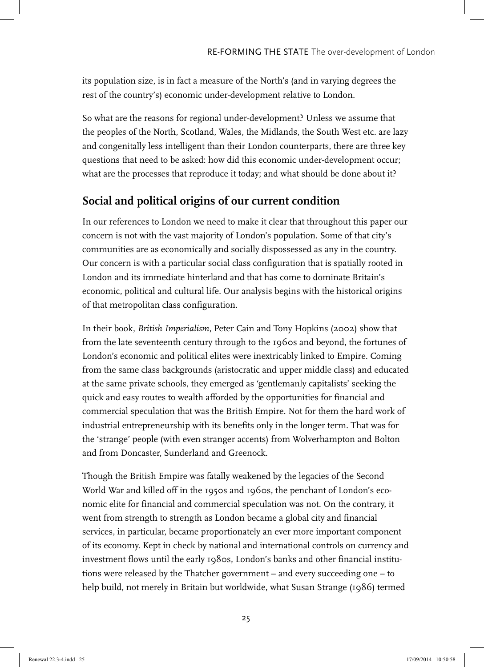its population size, is in fact a measure of the North's (and in varying degrees the rest of the country's) economic under-development relative to London.

So what are the reasons for regional under-development? Unless we assume that the peoples of the North, Scotland, Wales, the Midlands, the South West etc. are lazy and congenitally less intelligent than their London counterparts, there are three key questions that need to be asked: how did this economic under-development occur; what are the processes that reproduce it today; and what should be done about it?

# **Social and political origins of our current condition**

In our references to London we need to make it clear that throughout this paper our concern is not with the vast majority of London's population. Some of that city's communities are as economically and socially dispossessed as any in the country. Our concern is with a particular social class configuration that is spatially rooted in London and its immediate hinterland and that has come to dominate Britain's economic, political and cultural life. Our analysis begins with the historical origins of that metropolitan class configuration.

In their book, *British Imperialism*, Peter Cain and Tony Hopkins (2002) show that from the late seventeenth century through to the 1960s and beyond, the fortunes of London's economic and political elites were inextricably linked to Empire. Coming from the same class backgrounds (aristocratic and upper middle class) and educated at the same private schools, they emerged as 'gentlemanly capitalists' seeking the quick and easy routes to wealth afforded by the opportunities for financial and commercial speculation that was the British Empire. Not for them the hard work of industrial entrepreneurship with its benefits only in the longer term. That was for the 'strange' people (with even stranger accents) from Wolverhampton and Bolton and from Doncaster, Sunderland and Greenock.

Though the British Empire was fatally weakened by the legacies of the Second World War and killed off in the 1950s and 1960s, the penchant of London's economic elite for financial and commercial speculation was not. On the contrary, it went from strength to strength as London became a global city and financial services, in particular, became proportionately an ever more important component of its economy. Kept in check by national and international controls on currency and investment flows until the early 1980s, London's banks and other financial institutions were released by the Thatcher government – and every succeeding one – to help build, not merely in Britain but worldwide, what Susan Strange (1986) termed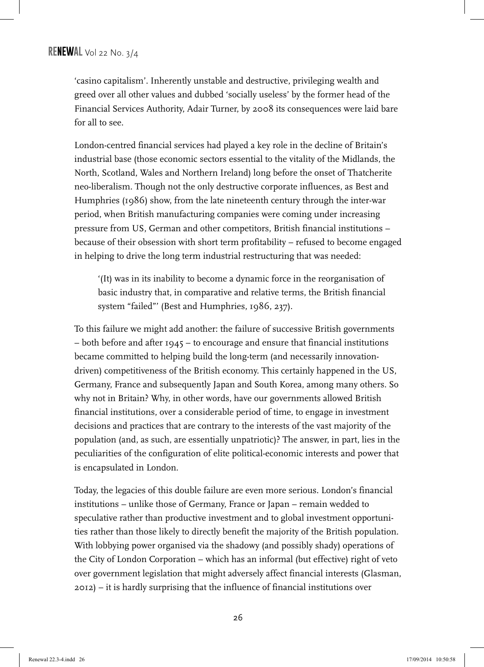'casino capitalism'. Inherently unstable and destructive, privileging wealth and greed over all other values and dubbed 'socially useless' by the former head of the Financial Services Authority, Adair Turner, by 2008 its consequences were laid bare for all to see.

London-centred financial services had played a key role in the decline of Britain's industrial base (those economic sectors essential to the vitality of the Midlands, the North, Scotland, Wales and Northern Ireland) long before the onset of Thatcherite neo-liberalism. Though not the only destructive corporate influences, as Best and Humphries (1986) show, from the late nineteenth century through the inter-war period, when British manufacturing companies were coming under increasing pressure from US, German and other competitors, British financial institutions – because of their obsession with short term profitability – refused to become engaged in helping to drive the long term industrial restructuring that was needed:

'(It) was in its inability to become a dynamic force in the reorganisation of basic industry that, in comparative and relative terms, the British financial system "failed"' (Best and Humphries, 1986, 237).

To this failure we might add another: the failure of successive British governments – both before and after 1945 – to encourage and ensure that financial institutions became committed to helping build the long-term (and necessarily innovationdriven) competitiveness of the British economy. This certainly happened in the US, Germany, France and subsequently Japan and South Korea, among many others. So why not in Britain? Why, in other words, have our governments allowed British financial institutions, over a considerable period of time, to engage in investment decisions and practices that are contrary to the interests of the vast majority of the population (and, as such, are essentially unpatriotic)? The answer, in part, lies in the peculiarities of the configuration of elite political-economic interests and power that is encapsulated in London.

Today, the legacies of this double failure are even more serious. London's financial institutions – unlike those of Germany, France or Japan – remain wedded to speculative rather than productive investment and to global investment opportunities rather than those likely to directly benefit the majority of the British population. With lobbying power organised via the shadowy (and possibly shady) operations of the City of London Corporation – which has an informal (but effective) right of veto over government legislation that might adversely affect financial interests (Glasman, 2012) – it is hardly surprising that the influence of financial institutions over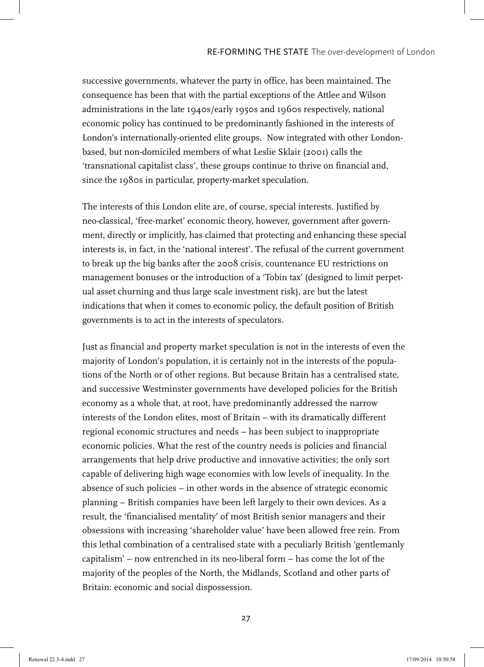successive governments, whatever the party in office, has been maintained. The consequence has been that with the partial exceptions of the Attlee and Wilson administrations in the late 1940s/early 1950s and 1960s respectively, national economic policy has continued to be predominantly fashioned in the interests of London's internationally-oriented elite groups. Now integrated with other Londonbased, but non-domiciled members of what Leslie Sklair (2001) calls the 'transnational capitalist class', these groups continue to thrive on financial and, since the 1980s in particular, property-market speculation.

The interests of this London elite are, of course, special interests. Justified by neo-classical, 'free-market' economic theory, however, government after government, directly or implicitly, has claimed that protecting and enhancing these special interests is, in fact, in the 'national interest'. The refusal of the current government to break up the big banks after the 2008 crisis, countenance EU restrictions on management bonuses or the introduction of a 'Tobin tax' (designed to limit perpetual asset churning and thus large scale investment risk), are but the latest indications that when it comes to economic policy, the default position of British governments is to act in the interests of speculators.

Just as financial and property market speculation is not in the interests of even the majority of London's population, it is certainly not in the interests of the populations of the North or of other regions. But because Britain has a centralised state, and successive Westminster governments have developed policies for the British economy as a whole that, at root, have predominantly addressed the narrow interests of the London elites, most of Britain – with its dramatically different regional economic structures and needs – has been subject to inappropriate economic policies. What the rest of the country needs is policies and financial arrangements that help drive productive and innovative activities; the only sort capable of delivering high wage economies with low levels of inequality. In the absence of such policies – in other words in the absence of strategic economic planning – British companies have been left largely to their own devices. As a result, the 'financialised mentality' of most British senior managers and their obsessions with increasing 'shareholder value' have been allowed free rein. From this lethal combination of a centralised state with a peculiarly British 'gentlemanly capitalism' – now entrenched in its neo-liberal form – has come the lot of the majority of the peoples of the North, the Midlands, Scotland and other parts of Britain: economic and social dispossession.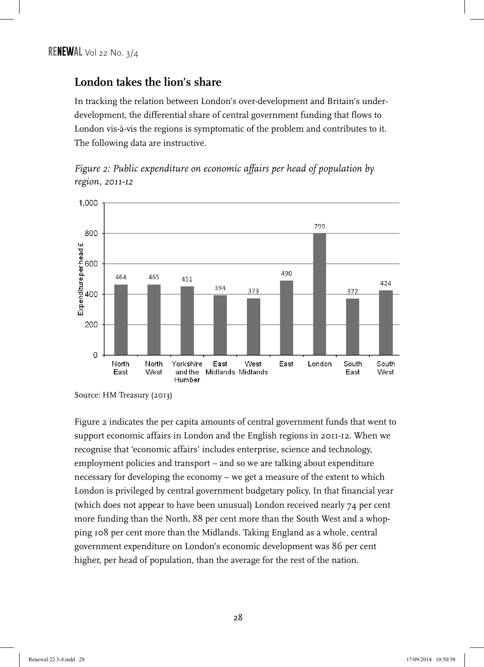# **London takes the lion's share**

In tracking the relation between London's over-development and Britain's underdevelopment, the differential share of central government funding that flows to London vis-à-vis the regions is symptomatic of the problem and contributes to it. The following data are instructive.

*Figure 2: Public expenditure on economic affairs per head of population by region, 2011-12*



Source: HM Treasury (2013)

Figure 2 indicates the per capita amounts of central government funds that went to support economic affairs in London and the English regions in 2011-12. When we recognise that 'economic affairs' includes enterprise, science and technology, employment policies and transport – and so we are talking about expenditure necessary for developing the economy – we get a measure of the extent to which London is privileged by central government budgetary policy. In that financial year (which does not appear to have been unusual) London received nearly 74 per cent more funding than the North, 88 per cent more than the South West and a whopping 108 per cent more than the Midlands. Taking England as a whole, central government expenditure on London's economic development was 86 per cent higher, per head of population, than the average for the rest of the nation.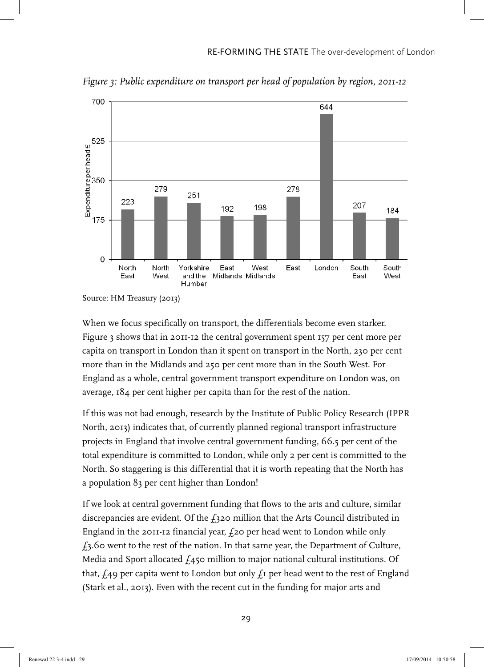

*Figure 3: Public expenditure on transport per head of population by region, 2011-12*

When we focus specifically on transport, the differentials become even starker. Figure 3 shows that in 2011-12 the central government spent 157 per cent more per capita on transport in London than it spent on transport in the North, 230 per cent more than in the Midlands and 250 per cent more than in the South West. For England as a whole, central government transport expenditure on London was, on average, 184 per cent higher per capita than for the rest of the nation.

If this was not bad enough, research by the Institute of Public Policy Research (IPPR North, 2013) indicates that, of currently planned regional transport infrastructure projects in England that involve central government funding, 66.5 per cent of the total expenditure is committed to London, while only 2 per cent is committed to the North. So staggering is this differential that it is worth repeating that the North has a population 83 per cent higher than London!

If we look at central government funding that flows to the arts and culture, similar discrepancies are evident. Of the  $f_3$ 20 million that the Arts Council distributed in England in the 2011-12 financial year,  $f$ 20 per head went to London while only  $f_3$ .60 went to the rest of the nation. In that same year, the Department of Culture, Media and Sport allocated  $f_4$ 50 million to major national cultural institutions. Of that,  $f_A$ 9 per capita went to London but only  $f_I$  per head went to the rest of England (Stark et al., 2013). Even with the recent cut in the funding for major arts and

Source: HM Treasury (2013)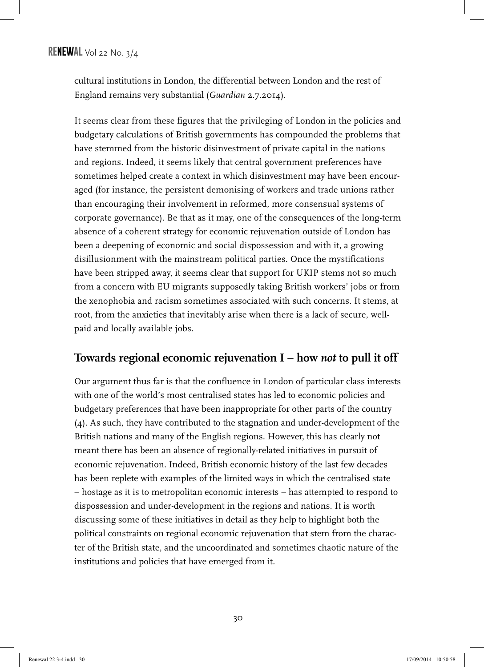cultural institutions in London, the differential between London and the rest of England remains very substantial (*Guardian* 2.7.2014).

It seems clear from these figures that the privileging of London in the policies and budgetary calculations of British governments has compounded the problems that have stemmed from the historic disinvestment of private capital in the nations and regions. Indeed, it seems likely that central government preferences have sometimes helped create a context in which disinvestment may have been encouraged (for instance, the persistent demonising of workers and trade unions rather than encouraging their involvement in reformed, more consensual systems of corporate governance). Be that as it may, one of the consequences of the long-term absence of a coherent strategy for economic rejuvenation outside of London has been a deepening of economic and social dispossession and with it, a growing disillusionment with the mainstream political parties. Once the mystifications have been stripped away, it seems clear that support for UKIP stems not so much from a concern with EU migrants supposedly taking British workers' jobs or from the xenophobia and racism sometimes associated with such concerns. It stems, at root, from the anxieties that inevitably arise when there is a lack of secure, wellpaid and locally available jobs.

# **Towards regional economic rejuvenation I – how** *not* **to pull it off**

Our argument thus far is that the confluence in London of particular class interests with one of the world's most centralised states has led to economic policies and budgetary preferences that have been inappropriate for other parts of the country (4). As such, they have contributed to the stagnation and under-development of the British nations and many of the English regions. However, this has clearly not meant there has been an absence of regionally-related initiatives in pursuit of economic rejuvenation. Indeed, British economic history of the last few decades has been replete with examples of the limited ways in which the centralised state – hostage as it is to metropolitan economic interests – has attempted to respond to dispossession and under-development in the regions and nations. It is worth discussing some of these initiatives in detail as they help to highlight both the political constraints on regional economic rejuvenation that stem from the character of the British state, and the uncoordinated and sometimes chaotic nature of the institutions and policies that have emerged from it.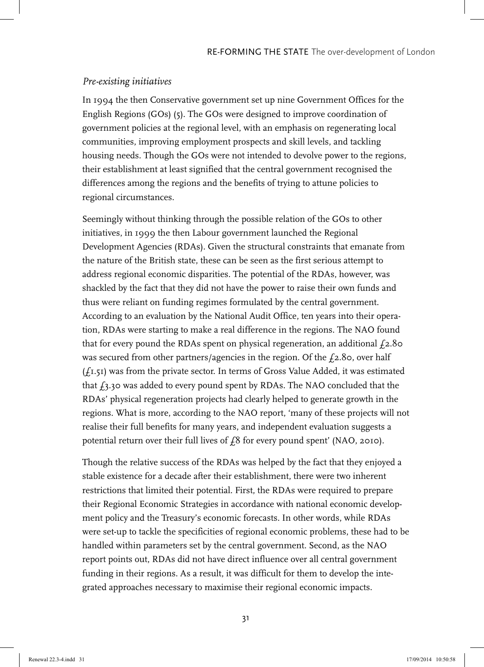#### *Pre-existing initiatives*

In 1994 the then Conservative government set up nine Government Offices for the English Regions (GOs) (5). The GOs were designed to improve coordination of government policies at the regional level, with an emphasis on regenerating local communities, improving employment prospects and skill levels, and tackling housing needs. Though the GOs were not intended to devolve power to the regions, their establishment at least signified that the central government recognised the differences among the regions and the benefits of trying to attune policies to regional circumstances.

Seemingly without thinking through the possible relation of the GOs to other initiatives, in 1999 the then Labour government launched the Regional Development Agencies (RDAs). Given the structural constraints that emanate from the nature of the British state, these can be seen as the first serious attempt to address regional economic disparities. The potential of the RDAs, however, was shackled by the fact that they did not have the power to raise their own funds and thus were reliant on funding regimes formulated by the central government. According to an evaluation by the National Audit Office, ten years into their operation, RDAs were starting to make a real difference in the regions. The NAO found that for every pound the RDAs spent on physical regeneration, an additional  $\dot{\varphi}$  = 1.80 was secured from other partners/agencies in the region. Of the  $\text{\emph{f}}_2$ .80, over half (£1.51) was from the private sector. In terms of Gross Value Added, it was estimated that  $f_3$ , 30 was added to every pound spent by RDAs. The NAO concluded that the RDAs' physical regeneration projects had clearly helped to generate growth in the regions. What is more, according to the NAO report, 'many of these projects will not realise their full benefits for many years, and independent evaluation suggests a potential return over their full lives of  $f$ 8 for every pound spent' (NAO, 2010).

Though the relative success of the RDAs was helped by the fact that they enjoyed a stable existence for a decade after their establishment, there were two inherent restrictions that limited their potential. First, the RDAs were required to prepare their Regional Economic Strategies in accordance with national economic development policy and the Treasury's economic forecasts. In other words, while RDAs were set-up to tackle the specificities of regional economic problems, these had to be handled within parameters set by the central government. Second, as the NAO report points out, RDAs did not have direct influence over all central government funding in their regions. As a result, it was difficult for them to develop the integrated approaches necessary to maximise their regional economic impacts.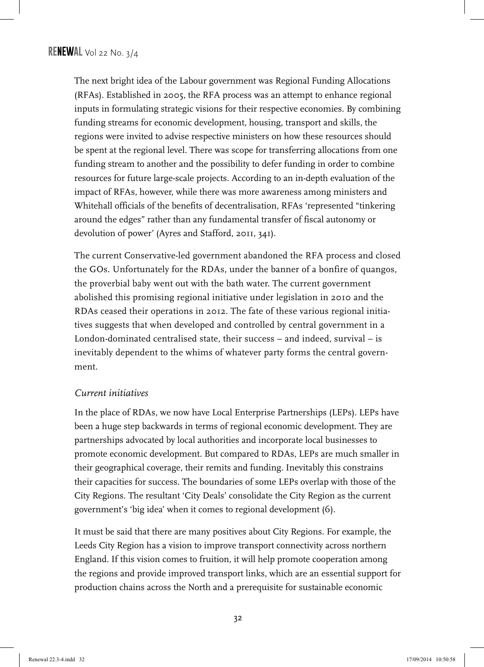The next bright idea of the Labour government was Regional Funding Allocations (RFAs). Established in 2005, the RFA process was an attempt to enhance regional inputs in formulating strategic visions for their respective economies. By combining funding streams for economic development, housing, transport and skills, the regions were invited to advise respective ministers on how these resources should be spent at the regional level. There was scope for transferring allocations from one funding stream to another and the possibility to defer funding in order to combine resources for future large-scale projects. According to an in-depth evaluation of the impact of RFAs, however, while there was more awareness among ministers and Whitehall officials of the benefits of decentralisation, RFAs 'represented "tinkering around the edges" rather than any fundamental transfer of fiscal autonomy or devolution of power' (Ayres and Stafford, 2011, 341).

The current Conservative-led government abandoned the RFA process and closed the GOs. Unfortunately for the RDAs, under the banner of a bonfire of quangos, the proverbial baby went out with the bath water. The current government abolished this promising regional initiative under legislation in 2010 and the RDAs ceased their operations in 2012. The fate of these various regional initiatives suggests that when developed and controlled by central government in a London-dominated centralised state, their success – and indeed, survival – is inevitably dependent to the whims of whatever party forms the central government.

#### *Current initiatives*

In the place of RDAs, we now have Local Enterprise Partnerships (LEPs). LEPs have been a huge step backwards in terms of regional economic development. They are partnerships advocated by local authorities and incorporate local businesses to promote economic development. But compared to RDAs, LEPs are much smaller in their geographical coverage, their remits and funding. Inevitably this constrains their capacities for success. The boundaries of some LEPs overlap with those of the City Regions. The resultant 'City Deals' consolidate the City Region as the current government's 'big idea' when it comes to regional development (6).

It must be said that there are many positives about City Regions. For example, the Leeds City Region has a vision to improve transport connectivity across northern England. If this vision comes to fruition, it will help promote cooperation among the regions and provide improved transport links, which are an essential support for production chains across the North and a prerequisite for sustainable economic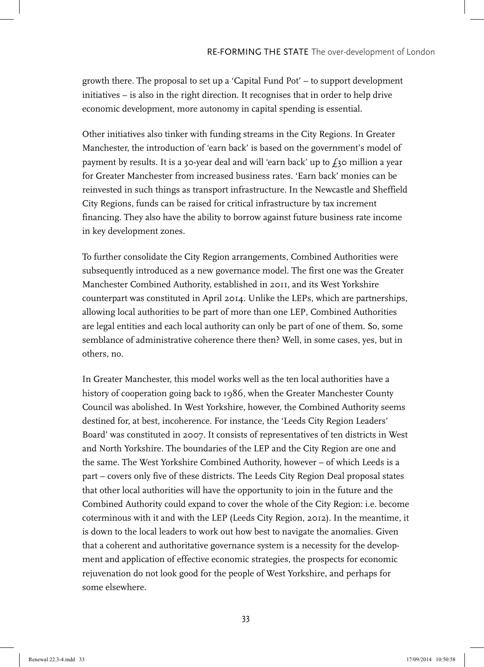growth there. The proposal to set up a 'Capital Fund Pot' – to support development initiatives – is also in the right direction. It recognises that in order to help drive economic development, more autonomy in capital spending is essential.

Other initiatives also tinker with funding streams in the City Regions. In Greater Manchester, the introduction of 'earn back' is based on the government's model of payment by results. It is a 30-year deal and will 'earn back' up to  $f_3$ 0 million a year for Greater Manchester from increased business rates. 'Earn back' monies can be reinvested in such things as transport infrastructure. In the Newcastle and Sheffield City Regions, funds can be raised for critical infrastructure by tax increment financing. They also have the ability to borrow against future business rate income in key development zones.

To further consolidate the City Region arrangements, Combined Authorities were subsequently introduced as a new governance model. The first one was the Greater Manchester Combined Authority, established in 2011, and its West Yorkshire counterpart was constituted in April 2014. Unlike the LEPs, which are partnerships, allowing local authorities to be part of more than one LEP, Combined Authorities are legal entities and each local authority can only be part of one of them. So, some semblance of administrative coherence there then? Well, in some cases, yes, but in others, no.

In Greater Manchester, this model works well as the ten local authorities have a history of cooperation going back to 1986, when the Greater Manchester County Council was abolished. In West Yorkshire, however, the Combined Authority seems destined for, at best, incoherence. For instance, the 'Leeds City Region Leaders' Board' was constituted in 2007. It consists of representatives of ten districts in West and North Yorkshire. The boundaries of the LEP and the City Region are one and the same. The West Yorkshire Combined Authority, however – of which Leeds is a part – covers only five of these districts. The Leeds City Region Deal proposal states that other local authorities will have the opportunity to join in the future and the Combined Authority could expand to cover the whole of the City Region: i.e. become coterminous with it and with the LEP (Leeds City Region, 2012). In the meantime, it is down to the local leaders to work out how best to navigate the anomalies. Given that a coherent and authoritative governance system is a necessity for the development and application of effective economic strategies, the prospects for economic rejuvenation do not look good for the people of West Yorkshire, and perhaps for some elsewhere.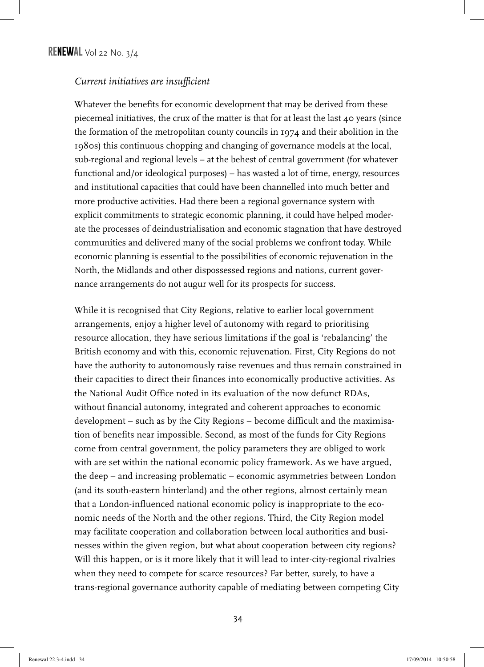#### *Current initiatives are insufficient*

Whatever the benefits for economic development that may be derived from these piecemeal initiatives, the crux of the matter is that for at least the last  $40$  years (since the formation of the metropolitan county councils in 1974 and their abolition in the 1980s) this continuous chopping and changing of governance models at the local, sub-regional and regional levels – at the behest of central government (for whatever functional and/or ideological purposes) – has wasted a lot of time, energy, resources and institutional capacities that could have been channelled into much better and more productive activities. Had there been a regional governance system with explicit commitments to strategic economic planning, it could have helped moderate the processes of deindustrialisation and economic stagnation that have destroyed communities and delivered many of the social problems we confront today. While economic planning is essential to the possibilities of economic rejuvenation in the North, the Midlands and other dispossessed regions and nations, current governance arrangements do not augur well for its prospects for success.

While it is recognised that City Regions, relative to earlier local government arrangements, enjoy a higher level of autonomy with regard to prioritising resource allocation, they have serious limitations if the goal is 'rebalancing' the British economy and with this, economic rejuvenation. First, City Regions do not have the authority to autonomously raise revenues and thus remain constrained in their capacities to direct their finances into economically productive activities. As the National Audit Office noted in its evaluation of the now defunct RDAs, without financial autonomy, integrated and coherent approaches to economic development – such as by the City Regions – become difficult and the maximisation of benefits near impossible. Second, as most of the funds for City Regions come from central government, the policy parameters they are obliged to work with are set within the national economic policy framework. As we have argued, the deep – and increasing problematic – economic asymmetries between London (and its south-eastern hinterland) and the other regions, almost certainly mean that a London-influenced national economic policy is inappropriate to the economic needs of the North and the other regions. Third, the City Region model may facilitate cooperation and collaboration between local authorities and businesses within the given region, but what about cooperation between city regions? Will this happen, or is it more likely that it will lead to inter-city-regional rivalries when they need to compete for scarce resources? Far better, surely, to have a trans-regional governance authority capable of mediating between competing City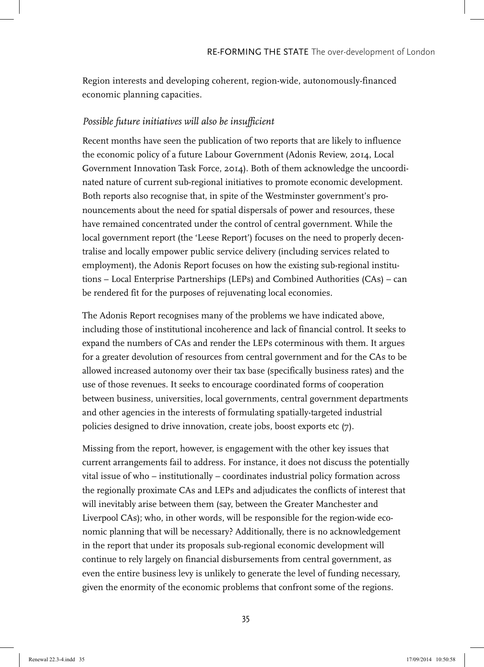Region interests and developing coherent, region-wide, autonomously-financed economic planning capacities.

#### *Possible future initiatives will also be insufficient*

Recent months have seen the publication of two reports that are likely to influence the economic policy of a future Labour Government (Adonis Review, 2014, Local Government Innovation Task Force, 2014). Both of them acknowledge the uncoordinated nature of current sub-regional initiatives to promote economic development. Both reports also recognise that, in spite of the Westminster government's pronouncements about the need for spatial dispersals of power and resources, these have remained concentrated under the control of central government. While the local government report (the 'Leese Report') focuses on the need to properly decentralise and locally empower public service delivery (including services related to employment), the Adonis Report focuses on how the existing sub-regional institutions – Local Enterprise Partnerships (LEPs) and Combined Authorities (CAs) – can be rendered fit for the purposes of rejuvenating local economies.

The Adonis Report recognises many of the problems we have indicated above, including those of institutional incoherence and lack of financial control. It seeks to expand the numbers of CAs and render the LEPs coterminous with them. It argues for a greater devolution of resources from central government and for the CAs to be allowed increased autonomy over their tax base (specifically business rates) and the use of those revenues. It seeks to encourage coordinated forms of cooperation between business, universities, local governments, central government departments and other agencies in the interests of formulating spatially-targeted industrial policies designed to drive innovation, create jobs, boost exports etc (7).

Missing from the report, however, is engagement with the other key issues that current arrangements fail to address. For instance, it does not discuss the potentially vital issue of who – institutionally – coordinates industrial policy formation across the regionally proximate CAs and LEPs and adjudicates the conflicts of interest that will inevitably arise between them (say, between the Greater Manchester and Liverpool CAs); who, in other words, will be responsible for the region-wide economic planning that will be necessary? Additionally, there is no acknowledgement in the report that under its proposals sub-regional economic development will continue to rely largely on financial disbursements from central government, as even the entire business levy is unlikely to generate the level of funding necessary, given the enormity of the economic problems that confront some of the regions.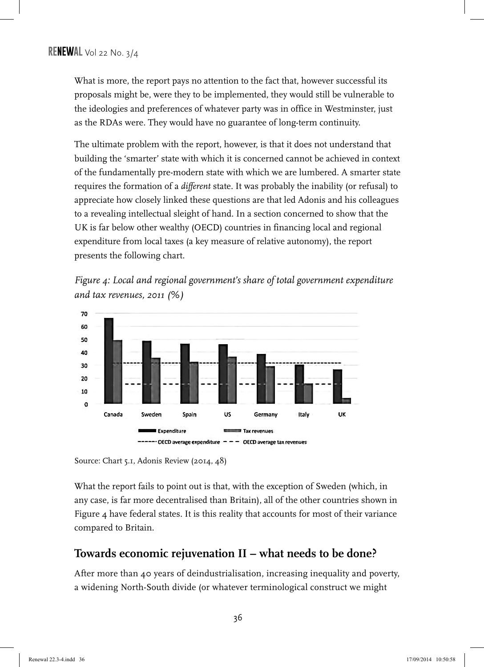What is more, the report pays no attention to the fact that, however successful its proposals might be, were they to be implemented, they would still be vulnerable to the ideologies and preferences of whatever party was in office in Westminster, just as the RDAs were. They would have no guarantee of long-term continuity.

The ultimate problem with the report, however, is that it does not understand that building the 'smarter' state with which it is concerned cannot be achieved in context of the fundamentally pre-modern state with which we are lumbered. A smarter state requires the formation of a *different* state. It was probably the inability (or refusal) to appreciate how closely linked these questions are that led Adonis and his colleagues to a revealing intellectual sleight of hand. In a section concerned to show that the UK is far below other wealthy (OECD) countries in financing local and regional expenditure from local taxes (a key measure of relative autonomy), the report presents the following chart.







What the report fails to point out is that, with the exception of Sweden (which, in any case, is far more decentralised than Britain), all of the other countries shown in Figure 4 have federal states. It is this reality that accounts for most of their variance compared to Britain.

### **Towards economic rejuvenation II – what needs to be done?**

After more than 40 years of deindustrialisation, increasing inequality and poverty, a widening North-South divide (or whatever terminological construct we might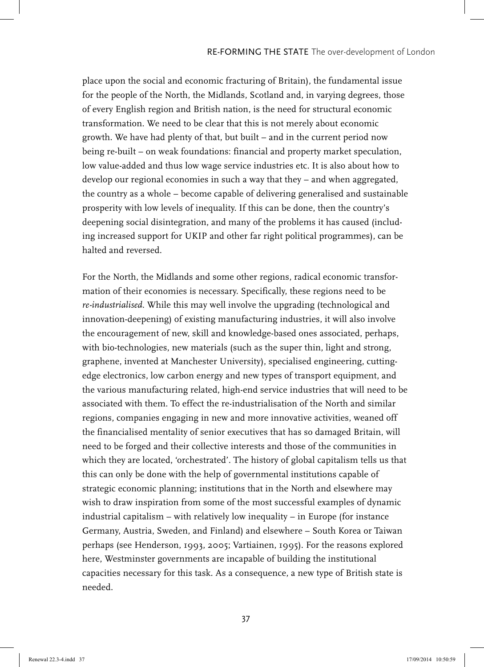place upon the social and economic fracturing of Britain), the fundamental issue for the people of the North, the Midlands, Scotland and, in varying degrees, those of every English region and British nation, is the need for structural economic transformation. We need to be clear that this is not merely about economic growth. We have had plenty of that, but built – and in the current period now being re-built – on weak foundations: financial and property market speculation, low value-added and thus low wage service industries etc. It is also about how to develop our regional economies in such a way that they – and when aggregated, the country as a whole – become capable of delivering generalised and sustainable prosperity with low levels of inequality. If this can be done, then the country's deepening social disintegration, and many of the problems it has caused (including increased support for UKIP and other far right political programmes), can be halted and reversed.

For the North, the Midlands and some other regions, radical economic transformation of their economies is necessary. Specifically, these regions need to be *re-industrialised*. While this may well involve the upgrading (technological and innovation-deepening) of existing manufacturing industries, it will also involve the encouragement of new, skill and knowledge-based ones associated, perhaps, with bio-technologies, new materials (such as the super thin, light and strong, graphene, invented at Manchester University), specialised engineering, cuttingedge electronics, low carbon energy and new types of transport equipment, and the various manufacturing related, high-end service industries that will need to be associated with them. To effect the re-industrialisation of the North and similar regions, companies engaging in new and more innovative activities, weaned off the financialised mentality of senior executives that has so damaged Britain, will need to be forged and their collective interests and those of the communities in which they are located, 'orchestrated'. The history of global capitalism tells us that this can only be done with the help of governmental institutions capable of strategic economic planning; institutions that in the North and elsewhere may wish to draw inspiration from some of the most successful examples of dynamic industrial capitalism – with relatively low inequality – in Europe (for instance Germany, Austria, Sweden, and Finland) and elsewhere – South Korea or Taiwan perhaps (see Henderson, 1993, 2005; Vartiainen, 1995). For the reasons explored here, Westminster governments are incapable of building the institutional capacities necessary for this task. As a consequence, a new type of British state is needed.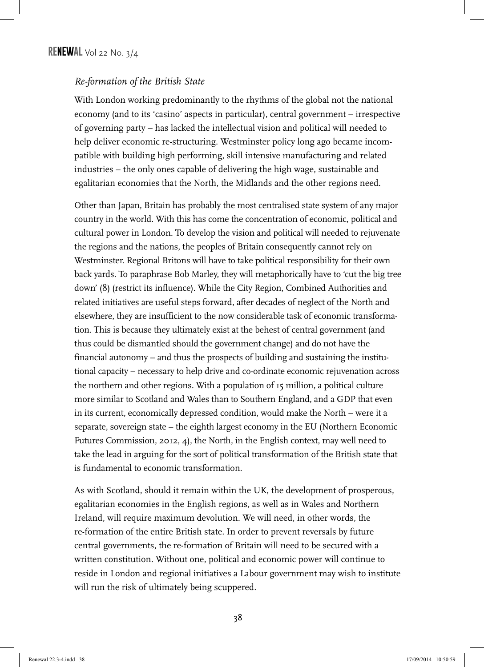#### *Re-formation of the British State*

With London working predominantly to the rhythms of the global not the national economy (and to its 'casino' aspects in particular), central government – irrespective of governing party – has lacked the intellectual vision and political will needed to help deliver economic re-structuring. Westminster policy long ago became incompatible with building high performing, skill intensive manufacturing and related industries – the only ones capable of delivering the high wage, sustainable and egalitarian economies that the North, the Midlands and the other regions need.

Other than Japan, Britain has probably the most centralised state system of any major country in the world. With this has come the concentration of economic, political and cultural power in London. To develop the vision and political will needed to rejuvenate the regions and the nations, the peoples of Britain consequently cannot rely on Westminster. Regional Britons will have to take political responsibility for their own back yards. To paraphrase Bob Marley, they will metaphorically have to 'cut the big tree down' (8) (restrict its influence). While the City Region, Combined Authorities and related initiatives are useful steps forward, after decades of neglect of the North and elsewhere, they are insufficient to the now considerable task of economic transformation. This is because they ultimately exist at the behest of central government (and thus could be dismantled should the government change) and do not have the financial autonomy – and thus the prospects of building and sustaining the institutional capacity – necessary to help drive and co-ordinate economic rejuvenation across the northern and other regions. With a population of 15 million, a political culture more similar to Scotland and Wales than to Southern England, and a GDP that even in its current, economically depressed condition, would make the North – were it a separate, sovereign state – the eighth largest economy in the EU (Northern Economic Futures Commission, 2012, 4), the North, in the English context, may well need to take the lead in arguing for the sort of political transformation of the British state that is fundamental to economic transformation.

As with Scotland, should it remain within the UK, the development of prosperous, egalitarian economies in the English regions, as well as in Wales and Northern Ireland, will require maximum devolution. We will need, in other words, the re-formation of the entire British state. In order to prevent reversals by future central governments, the re-formation of Britain will need to be secured with a written constitution. Without one, political and economic power will continue to reside in London and regional initiatives a Labour government may wish to institute will run the risk of ultimately being scuppered.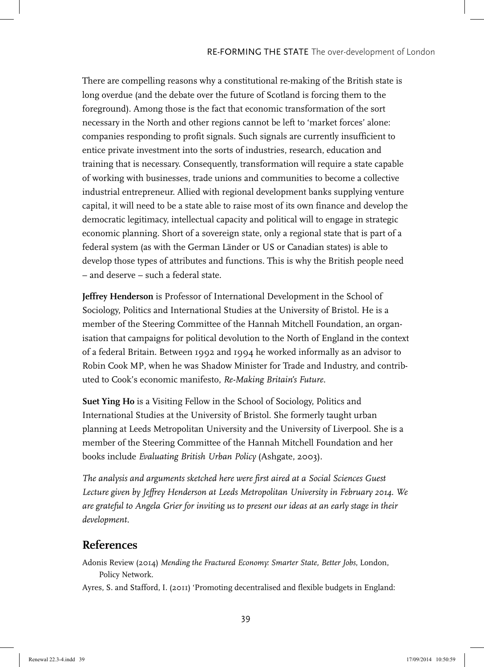There are compelling reasons why a constitutional re-making of the British state is long overdue (and the debate over the future of Scotland is forcing them to the foreground). Among those is the fact that economic transformation of the sort necessary in the North and other regions cannot be left to 'market forces' alone: companies responding to profit signals. Such signals are currently insufficient to entice private investment into the sorts of industries, research, education and training that is necessary. Consequently, transformation will require a state capable of working with businesses, trade unions and communities to become a collective industrial entrepreneur. Allied with regional development banks supplying venture capital, it will need to be a state able to raise most of its own finance and develop the democratic legitimacy, intellectual capacity and political will to engage in strategic economic planning. Short of a sovereign state, only a regional state that is part of a federal system (as with the German Länder or US or Canadian states) is able to develop those types of attributes and functions. This is why the British people need – and deserve – such a federal state.

**Jeffrey Henderson** is Professor of International Development in the School of Sociology, Politics and International Studies at the University of Bristol. He is a member of the Steering Committee of the Hannah Mitchell Foundation, an organisation that campaigns for political devolution to the North of England in the context of a federal Britain. Between 1992 and 1994 he worked informally as an advisor to Robin Cook MP, when he was Shadow Minister for Trade and Industry, and contributed to Cook's economic manifesto, *Re-Making Britain's Future*.

**Suet Ying Ho** is a Visiting Fellow in the School of Sociology, Politics and International Studies at the University of Bristol. She formerly taught urban planning at Leeds Metropolitan University and the University of Liverpool. She is a member of the Steering Committee of the Hannah Mitchell Foundation and her books include *Evaluating British Urban Policy* (Ashgate, 2003).

*The analysis and arguments sketched here were first aired at a Social Sciences Guest Lecture given by Jeffrey Henderson at Leeds Metropolitan University in February 2014. We are grateful to Angela Grier for inviting us to present our ideas at an early stage in their development.*

#### **References**

Adonis Review (2014) *Mending the Fractured Economy: Smarter State, Better Jobs*, London, Policy Network.

Ayres, S. and Stafford, I. (2011) 'Promoting decentralised and flexible budgets in England: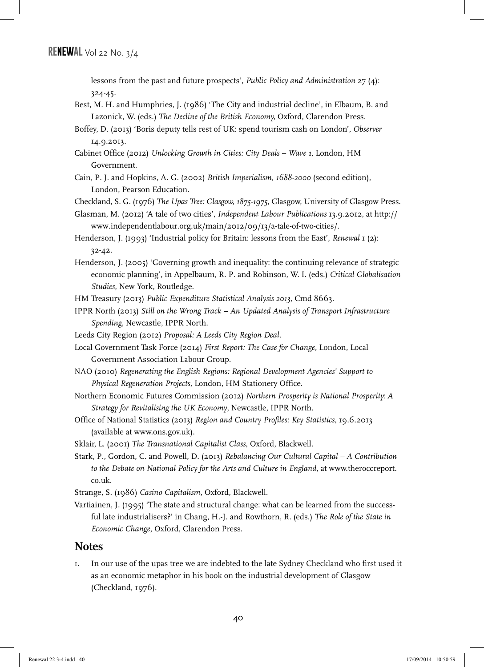lessons from the past and future prospects', *Public Policy and Administration* 27 (4): 324-45.

Best, M. H. and Humphries, J. (1986) 'The City and industrial decline', in Elbaum, B. and Lazonick, W. (eds.) *The Decline of the British Economy,* Oxford, Clarendon Press.

Boffey, D. (2013) 'Boris deputy tells rest of UK: spend tourism cash on London', *Observer* 14.9.2013.

Cabinet Office (2012) *Unlocking Growth in Cities: City Deals – Wave 1*, London, HM Government.

Cain, P. J. and Hopkins, A. G. (2002) *British Imperialism, 1688-2000* (second edition), London, Pearson Education.

Checkland, S. G. (1976) *The Upas Tree: Glasgow, 1875-1975*, Glasgow, University of Glasgow Press.

- Glasman, M. (2012) 'A tale of two cities', *Independent Labour Publications* 13.9.2012, at http:// www.independentlabour.org.uk/main/2012/09/13/a-tale-of-two-cities/.
- Henderson, J. (1993) 'Industrial policy for Britain: lessons from the East', *Renewal* 1 (2): 32-42.
- Henderson, J. (2005) 'Governing growth and inequality: the continuing relevance of strategic economic planning', in Appelbaum, R. P. and Robinson, W. I. (eds.) *Critical Globalisation Studies*, New York, Routledge.

HM Treasury (2013) *Public Expenditure Statistical Analysis 2013*, Cmd 8663.

- IPPR North (2013) *Still on the Wrong Track An Updated Analysis of Transport Infrastructure Spending*, Newcastle, IPPR North.
- Leeds City Region (2012) *Proposal: A Leeds City Region Deal.*
- Local Government Task Force (2014) *First Report: The Case for Change*, London, Local Government Association Labour Group.
- NAO (2010) *Regenerating the English Regions: Regional Development Agencies' Support to Physical Regeneration Projects*, London, HM Stationery Office.
- Northern Economic Futures Commission (2012) *Northern Prosperity is National Prosperity: A Strategy for Revitalising the UK Economy*, Newcastle, IPPR North.
- Office of National Statistics (2013) *Region and Country Profiles: Key Statistics*, 19.6.2013 (available at www.ons.gov.uk).

Sklair, L. (2001) *The Transnational Capitalist Class*, Oxford, Blackwell.

Stark, P., Gordon, C. and Powell, D. (2013) *Rebalancing Our Cultural Capital – A Contribution to the Debate on National Policy for the Arts and Culture in England*, at www.theroccreport. co.uk.

Strange, S. (1986) *Casino Capitalism*, Oxford, Blackwell.

Vartiainen, J. (1995) 'The state and structural change: what can be learned from the successful late industrialisers?' in Chang, H.-J. and Rowthorn, R. (eds.) *The Role of the State in Economic Change*, Oxford, Clarendon Press.

#### **Notes**

1. In our use of the upas tree we are indebted to the late Sydney Checkland who first used it as an economic metaphor in his book on the industrial development of Glasgow (Checkland, 1976).